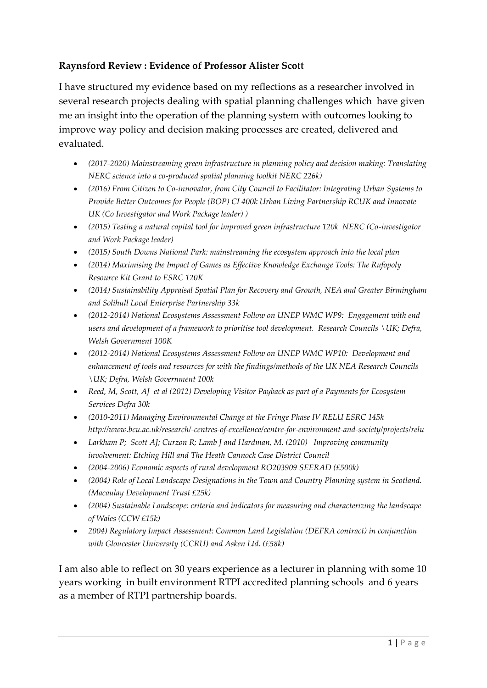## **Raynsford Review : Evidence of Professor Alister Scott**

I have structured my evidence based on my reflections as a researcher involved in several research projects dealing with spatial planning challenges which have given me an insight into the operation of the planning system with outcomes looking to improve way policy and decision making processes are created, delivered and evaluated.

- *(2017-2020) Mainstreaming green infrastructure in planning policy and decision making: Translating NERC science into a co-produced spatial planning toolkit NERC 226k)*
- *(2016) From Citizen to Co-innovator, from City Council to Facilitator: Integrating Urban Systems to Provide Better Outcomes for People (BOP) CI 400k Urban Living Partnership RCUK and Innovate UK (Co Investigator and Work Package leader) )*
- *(2015) Testing a natural capital tool for improved green infrastructure 120k NERC (Co-investigator and Work Package leader)*
- *(2015) South Downs National Park: mainstreaming the ecosystem approach into the local plan*
- *(2014) Maximising the Impact of Games as Effective Knowledge Exchange Tools: The Rufopoly Resource Kit Grant to ESRC 120K*
- *(2014) Sustainability Appraisal Spatial Plan for Recovery and Growth, NEA and Greater Birmingham and Solihull Local Enterprise Partnership 33k*
- *(2012-2014) National Ecosystems Assessment Follow on UNEP WMC WP9: Engagement with end users and development of a framework to prioritise tool development. Research Councils \UK; Defra, Welsh Government 100K*
- *(2012-2014) National Ecosystems Assessment Follow on UNEP WMC WP10: Development and enhancement of tools and resources for with the findings/methods of the UK NEA Research Councils \UK; Defra, Welsh Government 100k*
- *Reed, M, Scott, AJ et al (2012) Developing Visitor Payback as part of a Payments for Ecosystem Services Defra 30k*
- *(2010-2011) Managing Environmental Change at the Fringe Phase IV RELU ESRC 145k http://www.bcu.ac.uk/research/-centres-of-excellence/centre-for-environment-and-society/projects/relu*
- *Larkham P; Scott AJ; Curzon R; Lamb J and Hardman, M. (2010) Improving community involvement: Etching Hill and The Heath Cannock Case District Council*
- *(2004-2006) Economic aspects of rural development RO203909 SEERAD (£500k)*
- *(2004) Role of Local Landscape Designations in the Town and Country Planning system in Scotland. (Macaulay Development Trust £25k)*
- *(2004) Sustainable Landscape: criteria and indicators for measuring and characterizing the landscape of Wales (CCW £15k)*
- *2004) Regulatory Impact Assessment: Common Land Legislation (DEFRA contract) in conjunction with Gloucester University (CCRU) and Asken Ltd. (£58k)*

I am also able to reflect on 30 years experience as a lecturer in planning with some 10 years working in built environment RTPI accredited planning schools and 6 years as a member of RTPI partnership boards.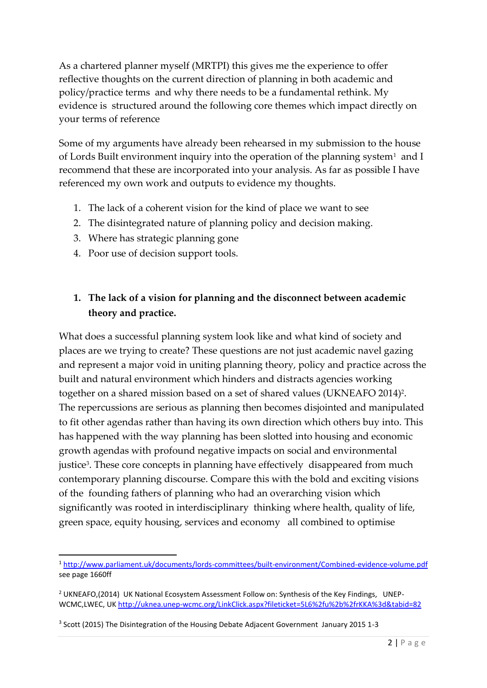As a chartered planner myself (MRTPI) this gives me the experience to offer reflective thoughts on the current direction of planning in both academic and policy/practice terms and why there needs to be a fundamental rethink. My evidence is structured around the following core themes which impact directly on your terms of reference

Some of my arguments have already been rehearsed in my submission to the house of Lords Built environment inquiry into the operation of the planning system<sup>1</sup> and I recommend that these are incorporated into your analysis. As far as possible I have referenced my own work and outputs to evidence my thoughts.

- 1. The lack of a coherent vision for the kind of place we want to see
- 2. The disintegrated nature of planning policy and decision making.
- 3. Where has strategic planning gone
- 4. Poor use of decision support tools.

# **1. The lack of a vision for planning and the disconnect between academic theory and practice.**

What does a successful planning system look like and what kind of society and places are we trying to create? These questions are not just academic navel gazing and represent a major void in uniting planning theory, policy and practice across the built and natural environment which hinders and distracts agencies working together on a shared mission based on a set of shared values (UKNEAFO 2014)<sup>2</sup> . The repercussions are serious as planning then becomes disjointed and manipulated to fit other agendas rather than having its own direction which others buy into. This has happened with the way planning has been slotted into housing and economic growth agendas with profound negative impacts on social and environmental justice<sup>3</sup>. These core concepts in planning have effectively disappeared from much contemporary planning discourse. Compare this with the bold and exciting visions of the founding fathers of planning who had an overarching vision which significantly was rooted in interdisciplinary thinking where health, quality of life, green space, equity housing, services and economy all combined to optimise

<sup>1</sup> <http://www.parliament.uk/documents/lords-committees/built-environment/Combined-evidence-volume.pdf> see page 1660ff

<sup>&</sup>lt;sup>2</sup> UKNEAFO,(2014) UK National Ecosystem Assessment Follow on: Synthesis of the Key Findings, UNEP-WCMC,LWEC, U[K http://uknea.unep-wcmc.org/LinkClick.aspx?fileticket=5L6%2fu%2b%2frKKA%3d&tabid=82](http://uknea.unep-wcmc.org/LinkClick.aspx?fileticket=5L6%2fu%2b%2frKKA%3d&tabid=82)

<sup>&</sup>lt;sup>3</sup> Scott (2015) The Disintegration of the Housing Debate Adjacent Government January 2015 1-3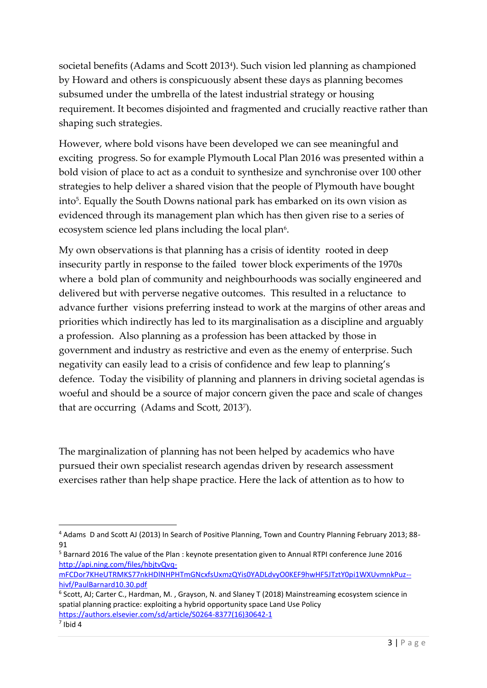societal benefits (Adams and Scott 2013<sup>4</sup> ). Such vision led planning as championed by Howard and others is conspicuously absent these days as planning becomes subsumed under the umbrella of the latest industrial strategy or housing requirement. It becomes disjointed and fragmented and crucially reactive rather than shaping such strategies.

However, where bold visons have been developed we can see meaningful and exciting progress. So for example Plymouth Local Plan 2016 was presented within a bold vision of place to act as a conduit to synthesize and synchronise over 100 other strategies to help deliver a shared vision that the people of Plymouth have bought into<sup>5</sup> . Equally the South Downs national park has embarked on its own vision as evidenced through its management plan which has then given rise to a series of ecosystem science led plans including the local plan<sup>6</sup>.

My own observations is that planning has a crisis of identity rooted in deep insecurity partly in response to the failed tower block experiments of the 1970s where a bold plan of community and neighbourhoods was socially engineered and delivered but with perverse negative outcomes. This resulted in a reluctance to advance further visions preferring instead to work at the margins of other areas and priorities which indirectly has led to its marginalisation as a discipline and arguably a profession. Also planning as a profession has been attacked by those in government and industry as restrictive and even as the enemy of enterprise. Such negativity can easily lead to a crisis of confidence and few leap to planning's defence. Today the visibility of planning and planners in driving societal agendas is woeful and should be a source of major concern given the pace and scale of changes that are occurring (Adams and Scott, 2013<sup>7</sup> ).

The marginalization of planning has not been helped by academics who have pursued their own specialist research agendas driven by research assessment exercises rather than help shape practice. Here the lack of attention as to how to

<sup>4</sup> Adams D and Scott AJ (2013) In Search of Positive Planning, Town and Country Planning February 2013; 88- 91

<sup>5</sup> Barnard 2016 The value of the Plan : keynote presentation given to Annual RTPI conference June 2016 [http://api.ning.com/files/hbjtvQvq-](http://api.ning.com/files/hbjtvQvq-mFCDor7KHeUTRMKS77nkHDlNHPHTmGNcxfsUxmzQYis0YADLdvyO0KEF9hwHF5JTztY0pi1WXUvmnkPuz--hivf/PaulBarnard10.30.pdf)

[mFCDor7KHeUTRMKS77nkHDlNHPHTmGNcxfsUxmzQYis0YADLdvyO0KEF9hwHF5JTztY0pi1WXUvmnkPuz-](http://api.ning.com/files/hbjtvQvq-mFCDor7KHeUTRMKS77nkHDlNHPHTmGNcxfsUxmzQYis0YADLdvyO0KEF9hwHF5JTztY0pi1WXUvmnkPuz--hivf/PaulBarnard10.30.pdf) [hivf/PaulBarnard10.30.pdf](http://api.ning.com/files/hbjtvQvq-mFCDor7KHeUTRMKS77nkHDlNHPHTmGNcxfsUxmzQYis0YADLdvyO0KEF9hwHF5JTztY0pi1WXUvmnkPuz--hivf/PaulBarnard10.30.pdf)

<sup>6</sup> Scott, AJ; Carter C., Hardman, M. , Grayson, N. and Slaney T (2018) Mainstreaming ecosystem science in spatial planning practice: exploiting a hybrid opportunity space Land Use Policy [https://authors.elsevier.com/sd/article/S0264-8377\(16\)30642-1](https://authors.elsevier.com/sd/article/S0264-8377(16)30642-1)

 $<sup>7</sup>$  Ibid 4</sup>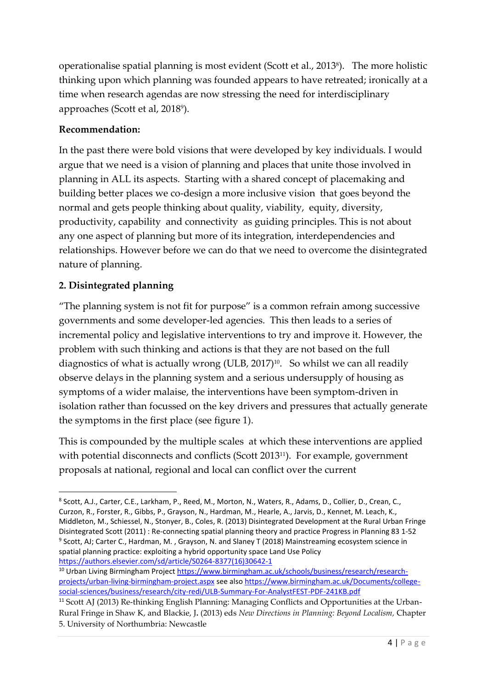operationalise spatial planning is most evident (Scott et al., 2013<sup>8</sup> ). The more holistic thinking upon which planning was founded appears to have retreated; ironically at a time when research agendas are now stressing the need for interdisciplinary approaches (Scott et al, 2018<sup>9</sup>).

## **Recommendation:**

In the past there were bold visions that were developed by key individuals. I would argue that we need is a vision of planning and places that unite those involved in planning in ALL its aspects. Starting with a shared concept of placemaking and building better places we co-design a more inclusive vision that goes beyond the normal and gets people thinking about quality, viability, equity, diversity, productivity, capability and connectivity as guiding principles. This is not about any one aspect of planning but more of its integration, interdependencies and relationships. However before we can do that we need to overcome the disintegrated nature of planning.

# **2. Disintegrated planning**

"The planning system is not fit for purpose" is a common refrain among successive governments and some developer-led agencies. This then leads to a series of incremental policy and legislative interventions to try and improve it. However, the problem with such thinking and actions is that they are not based on the full diagnostics of what is actually wrong (ULB, 2017)<sup>10</sup>. So whilst we can all readily observe delays in the planning system and a serious undersupply of housing as symptoms of a wider malaise, the interventions have been symptom-driven in isolation rather than focussed on the key drivers and pressures that actually generate the symptoms in the first place (see figure 1).

This is compounded by the multiple scales at which these interventions are applied with potential disconnects and conflicts (Scott 2013<sup>11</sup>). For example, government proposals at national, regional and local can conflict over the current

<sup>8</sup> Scott, A.J., Carter, C.E., Larkham, P., Reed, M., Morton, N., Waters, R., Adams, D., Collier, D., Crean, C., Curzon, R., Forster, R., Gibbs, P., Grayson, N., Hardman, M., Hearle, A., Jarvis, D., Kennet, M. Leach, K., Middleton, M., Schiessel, N., Stonyer, B., Coles, R. (2013) Disintegrated Development at the Rural Urban Fringe Disintegrated Scott (2011) : Re-connecting spatial planning theory and practice Progress in Planning 83 1-52 <sup>9</sup> Scott, AJ; Carter C., Hardman, M., Grayson, N. and Slaney T (2018) Mainstreaming ecosystem science in spatial planning practice: exploiting a hybrid opportunity space Land Use Policy [https://authors.elsevier.com/sd/article/S0264-8377\(16\)30642-1](https://authors.elsevier.com/sd/article/S0264-8377(16)30642-1)

<sup>&</sup>lt;sup>10</sup> Urban Living Birmingham Projec[t https://www.birmingham.ac.uk/schools/business/research/research](https://www.birmingham.ac.uk/schools/business/research/research-projects/urban-living-birmingham-project.aspx)[projects/urban-living-birmingham-project.aspx](https://www.birmingham.ac.uk/schools/business/research/research-projects/urban-living-birmingham-project.aspx) see als[o https://www.birmingham.ac.uk/Documents/college](https://www.birmingham.ac.uk/Documents/college-social-sciences/business/research/city-redi/ULB-Summary-For-AnalystFEST-PDF-241KB.pdf)[social-sciences/business/research/city-redi/ULB-Summary-For-AnalystFEST-PDF-241KB.pdf](https://www.birmingham.ac.uk/Documents/college-social-sciences/business/research/city-redi/ULB-Summary-For-AnalystFEST-PDF-241KB.pdf)

<sup>&</sup>lt;sup>11</sup> Scott AJ (2013) Re-thinking English Planning: Managing Conflicts and Opportunities at the Urban-Rural Fringe in Shaw K, and Blackie, J**.** (2013) eds *New Directions in Planning: Beyond Localism,* Chapter 5. University of Northumbria: Newcastle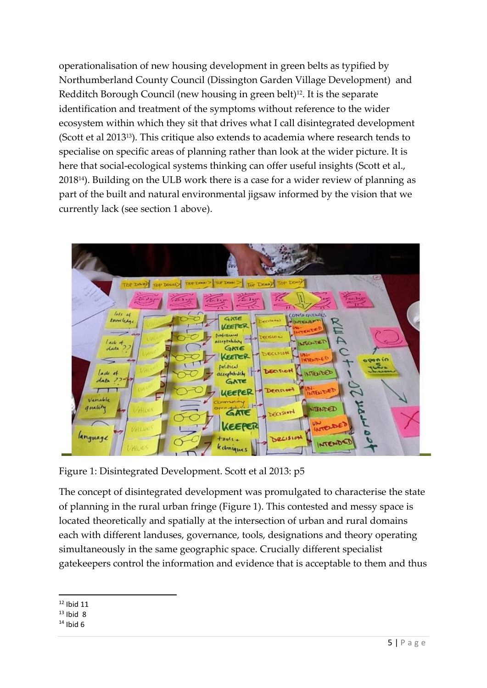operationalisation of new housing development in green belts as typified by Northumberland County Council (Dissington Garden Village Development) and Redditch Borough Council (new housing in green belt)<sup>12</sup>. It is the separate identification and treatment of the symptoms without reference to the wider ecosystem within which they sit that drives what I call disintegrated development (Scott et al 201313). This critique also extends to academia where research tends to specialise on specific areas of planning rather than look at the wider picture. It is here that social-ecological systems thinking can offer useful insights (Scott et al., 201814). Building on the ULB work there is a case for a wider review of planning as part of the built and natural environmental jigsaw informed by the vision that we currently lack (see section 1 above).



Figure 1: Disintegrated Development. Scott et al 2013: p5

The concept of disintegrated development was promulgated to characterise the state of planning in the rural urban fringe (Figure 1). This contested and messy space is located theoretically and spatially at the intersection of urban and rural domains each with different landuses, governance, tools, designations and theory operating simultaneously in the same geographic space. Crucially different specialist gatekeepers control the information and evidence that is acceptable to them and thus

 $12$  Ibid 11

 $13$  Ibid 8

 $14$  Ibid 6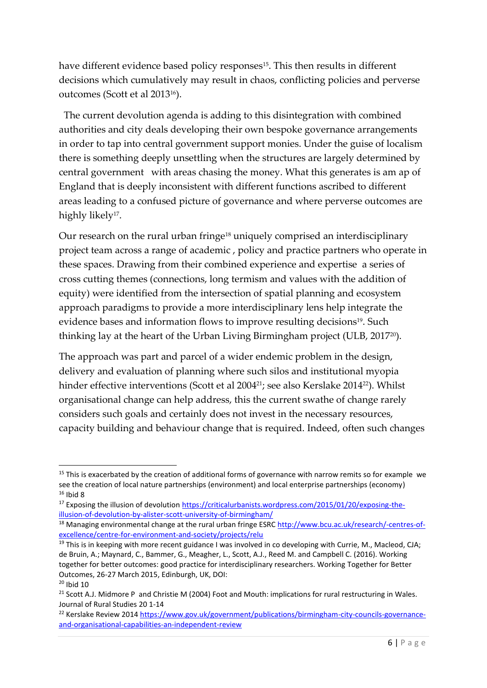have different evidence based policy responses<sup>15</sup>. This then results in different decisions which cumulatively may result in chaos, conflicting policies and perverse outcomes (Scott et al 201316).

The current devolution agenda is adding to this disintegration with combined authorities and city deals developing their own bespoke governance arrangements in order to tap into central government support monies. Under the guise of localism there is something deeply unsettling when the structures are largely determined by central government with areas chasing the money. What this generates is am ap of England that is deeply inconsistent with different functions ascribed to different areas leading to a confused picture of governance and where perverse outcomes are highly likely<sup>17</sup>.

Our research on the rural urban fringe<sup>18</sup> uniquely comprised an interdisciplinary project team across a range of academic , policy and practice partners who operate in these spaces. Drawing from their combined experience and expertise a series of cross cutting themes (connections, long termism and values with the addition of equity) were identified from the intersection of spatial planning and ecosystem approach paradigms to provide a more interdisciplinary lens help integrate the evidence bases and information flows to improve resulting decisions<sup>19</sup>. Such thinking lay at the heart of the Urban Living Birmingham project (ULB, 201720).

The approach was part and parcel of a wider endemic problem in the design, delivery and evaluation of planning where such silos and institutional myopia hinder effective interventions (Scott et al 2004<sup>21</sup>; see also Kerslake 2014<sup>22</sup>). Whilst organisational change can help address, this the current swathe of change rarely considers such goals and certainly does not invest in the necessary resources, capacity building and behaviour change that is required. Indeed, often such changes

 $15$  This is exacerbated by the creation of additional forms of governance with narrow remits so for example we see the creation of local nature partnerships (environment) and local enterprise partnerships (economy)  $16$  Ibid 8

<sup>&</sup>lt;sup>17</sup> Exposing the illusion of devolutio[n https://criticalurbanists.wordpress.com/2015/01/20/exposing-the](https://criticalurbanists.wordpress.com/2015/01/20/exposing-the-illusion-of-devolution-by-alister-scott-university-of-birmingham/)[illusion-of-devolution-by-alister-scott-university-of-birmingham/](https://criticalurbanists.wordpress.com/2015/01/20/exposing-the-illusion-of-devolution-by-alister-scott-university-of-birmingham/)

<sup>&</sup>lt;sup>18</sup> Managing environmental change at the rural urban fringe ESRC [http://www.bcu.ac.uk/research/-centres-of](http://www.bcu.ac.uk/research/-centres-of-excellence/centre-for-environment-and-society/projects/relu)[excellence/centre-for-environment-and-society/projects/relu](http://www.bcu.ac.uk/research/-centres-of-excellence/centre-for-environment-and-society/projects/relu)

<sup>&</sup>lt;sup>19</sup> This is in keeping with more recent guidance I was involved in co developing with Currie, M., Macleod, CJA; de Bruin, A.; Maynard, C., Bammer, G., Meagher, L., Scott, A.J., Reed M. and Campbell C. (2016). Working together for better outcomes: good practice for interdisciplinary researchers. Working Together for Better Outcomes, 26-27 March 2015, Edinburgh, UK, DOI:  $20$  Ibid 10

<sup>&</sup>lt;sup>21</sup> Scott A.J. Midmore P and Christie M (2004) Foot and Mouth: implications for rural restructuring in Wales. Journal of Rural Studies 20 1-14

<sup>&</sup>lt;sup>22</sup> Kerslake Review 2014 [https://www.gov.uk/government/publications/birmingham-city-councils-governance](https://www.gov.uk/government/publications/birmingham-city-councils-governance-and-organisational-capabilities-an-independent-review)[and-organisational-capabilities-an-independent-review](https://www.gov.uk/government/publications/birmingham-city-councils-governance-and-organisational-capabilities-an-independent-review)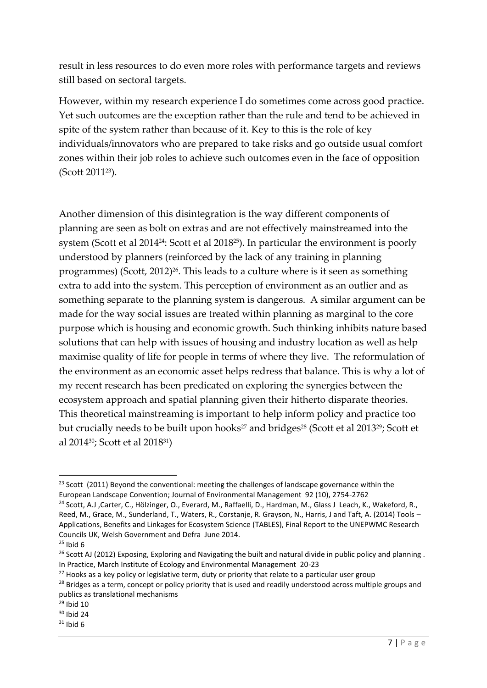result in less resources to do even more roles with performance targets and reviews still based on sectoral targets.

However, within my research experience I do sometimes come across good practice. Yet such outcomes are the exception rather than the rule and tend to be achieved in spite of the system rather than because of it. Key to this is the role of key individuals/innovators who are prepared to take risks and go outside usual comfort zones within their job roles to achieve such outcomes even in the face of opposition (Scott 201123).

Another dimension of this disintegration is the way different components of planning are seen as bolt on extras and are not effectively mainstreamed into the system (Scott et al 2014<sup>24</sup>: Scott et al 2018<sup>25</sup>). In particular the environment is poorly understood by planners (reinforced by the lack of any training in planning programmes) (Scott, 2012) <sup>26</sup>. This leads to a culture where is it seen as something extra to add into the system. This perception of environment as an outlier and as something separate to the planning system is dangerous. A similar argument can be made for the way social issues are treated within planning as marginal to the core purpose which is housing and economic growth. Such thinking inhibits nature based solutions that can help with issues of housing and industry location as well as help maximise quality of life for people in terms of where they live. The reformulation of the environment as an economic asset helps redress that balance. This is why a lot of my recent research has been predicated on exploring the synergies between the ecosystem approach and spatial planning given their hitherto disparate theories. This theoretical mainstreaming is important to help inform policy and practice too but crucially needs to be built upon hooks<sup>27</sup> and bridges<sup>28</sup> (Scott et al 2013<sup>29</sup>; Scott et al 201430; Scott et al 201831)

<sup>&</sup>lt;sup>23</sup> Scott (2011) Beyond the conventional: meeting the challenges of landscape governance within the European Landscape Convention; Journal of Environmental Management 92 (10), 2754-2762

<sup>&</sup>lt;sup>24</sup> Scott, A.J , Carter, C., Hölzinger, O., Everard, M., Raffaelli, D., Hardman, M., Glass J Leach, K., Wakeford, R., Reed, M., Grace, M., Sunderland, T., Waters, R., Corstanje, R. Grayson, N., Harris, J and Taft, A. (2014) Tools – Applications, Benefits and Linkages for Ecosystem Science (TABLES), Final Report to the UNEPWMC Research Councils UK, Welsh Government and Defra June 2014.

 $25$  Ibid 6

<sup>&</sup>lt;sup>26</sup> Scott AJ (2012) Exposing, Exploring and Navigating the built and natural divide in public policy and planning. In Practice, March Institute of Ecology and Environmental Management 20-23

 $27$  Hooks as a key policy or legislative term, duty or priority that relate to a particular user group

<sup>&</sup>lt;sup>28</sup> Bridges as a term, concept or policy priority that is used and readily understood across multiple groups and publics as translational mechanisms

 $29$  Ibid 10

<sup>30</sup> Ibid 24

 $31$  Ibid 6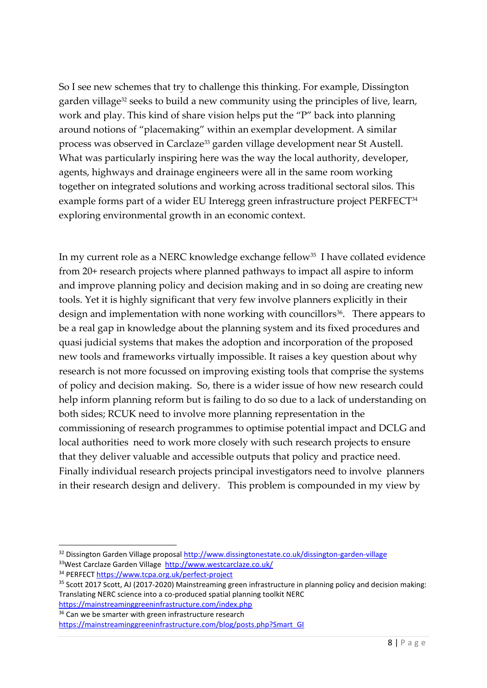So I see new schemes that try to challenge this thinking. For example, Dissington garden village<sup>32</sup> seeks to build a new community using the principles of live, learn, work and play. This kind of share vision helps put the "P" back into planning around notions of "placemaking" within an exemplar development. A similar process was observed in Carclaze<sup>33</sup> garden village development near St Austell. What was particularly inspiring here was the way the local authority, developer, agents, highways and drainage engineers were all in the same room working together on integrated solutions and working across traditional sectoral silos. This example forms part of a wider EU Interegg green infrastructure project PERFECT<sup>34</sup> exploring environmental growth in an economic context.

In my current role as a NERC knowledge exchange fellow<sup>35</sup> I have collated evidence from 20+ research projects where planned pathways to impact all aspire to inform and improve planning policy and decision making and in so doing are creating new tools. Yet it is highly significant that very few involve planners explicitly in their design and implementation with none working with councillors<sup>36</sup>. There appears to be a real gap in knowledge about the planning system and its fixed procedures and quasi judicial systems that makes the adoption and incorporation of the proposed new tools and frameworks virtually impossible. It raises a key question about why research is not more focussed on improving existing tools that comprise the systems of policy and decision making. So, there is a wider issue of how new research could help inform planning reform but is failing to do so due to a lack of understanding on both sides; RCUK need to involve more planning representation in the commissioning of research programmes to optimise potential impact and DCLG and local authorities need to work more closely with such research projects to ensure that they deliver valuable and accessible outputs that policy and practice need. Finally individual research projects principal investigators need to involve planners in their research design and delivery. This problem is compounded in my view by

<https://mainstreaminggreeninfrastructure.com/index.php>

<sup>32</sup> Dissington Garden Village proposal<http://www.dissingtonestate.co.uk/dissington-garden-village> 33West Carclaze Garden Village <http://www.westcarclaze.co.uk/>

<sup>34</sup> PERFECT<https://www.tcpa.org.uk/perfect-project>

<sup>&</sup>lt;sup>35</sup> Scott 2017 Scott, AJ (2017-2020) Mainstreaming green infrastructure in planning policy and decision making: Translating NERC science into a co-produced spatial planning toolkit NERC

<sup>&</sup>lt;sup>36</sup> Can we be smarter with green infrastructure research

[https://mainstreaminggreeninfrastructure.com/blog/posts.php?Smart\\_GI](https://mainstreaminggreeninfrastructure.com/blog/posts.php?Smart_GI)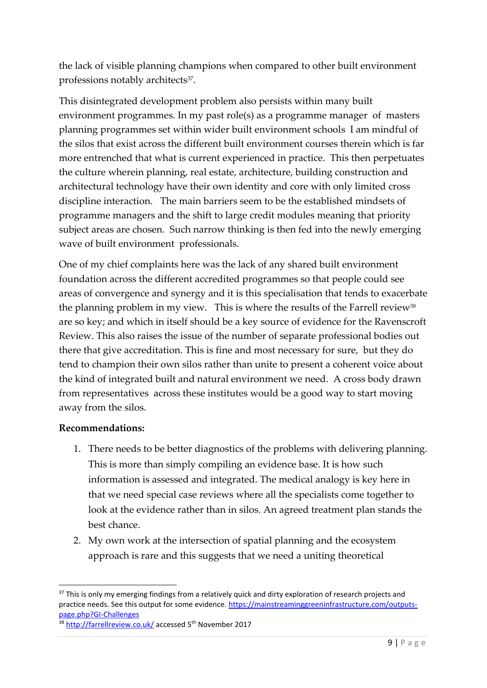the lack of visible planning champions when compared to other built environment professions notably architects<sup>37</sup>.

This disintegrated development problem also persists within many built environment programmes. In my past role(s) as a programme manager of masters planning programmes set within wider built environment schools I am mindful of the silos that exist across the different built environment courses therein which is far more entrenched that what is current experienced in practice. This then perpetuates the culture wherein planning, real estate, architecture, building construction and architectural technology have their own identity and core with only limited cross discipline interaction. The main barriers seem to be the established mindsets of programme managers and the shift to large credit modules meaning that priority subject areas are chosen. Such narrow thinking is then fed into the newly emerging wave of built environment professionals.

One of my chief complaints here was the lack of any shared built environment foundation across the different accredited programmes so that people could see areas of convergence and synergy and it is this specialisation that tends to exacerbate the planning problem in my view. This is where the results of the Farrell review<sup>38</sup> are so key; and which in itself should be a key source of evidence for the Ravenscroft Review. This also raises the issue of the number of separate professional bodies out there that give accreditation. This is fine and most necessary for sure, but they do tend to champion their own silos rather than unite to present a coherent voice about the kind of integrated built and natural environment we need. A cross body drawn from representatives across these institutes would be a good way to start moving away from the silos.

#### **Recommendations:**

- 1. There needs to be better diagnostics of the problems with delivering planning. This is more than simply compiling an evidence base. It is how such information is assessed and integrated. The medical analogy is key here in that we need special case reviews where all the specialists come together to look at the evidence rather than in silos. An agreed treatment plan stands the best chance.
- 2. My own work at the intersection of spatial planning and the ecosystem approach is rare and this suggests that we need a uniting theoretical

<sup>&</sup>lt;sup>37</sup> This is only my emerging findings from a relatively quick and dirty exploration of research projects and practice needs. See this output for some evidence[. https://mainstreaminggreeninfrastructure.com/outputs](https://mainstreaminggreeninfrastructure.com/outputs-page.php?GI-Challenges)[page.php?GI-Challenges](https://mainstreaminggreeninfrastructure.com/outputs-page.php?GI-Challenges)

<sup>38</sup> <http://farrellreview.co.uk/> accessed 5<sup>th</sup> November 2017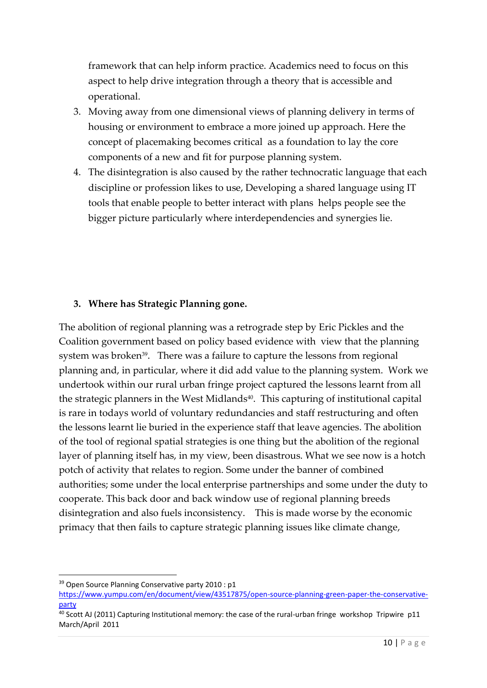framework that can help inform practice. Academics need to focus on this aspect to help drive integration through a theory that is accessible and operational.

- 3. Moving away from one dimensional views of planning delivery in terms of housing or environment to embrace a more joined up approach. Here the concept of placemaking becomes critical as a foundation to lay the core components of a new and fit for purpose planning system.
- 4. The disintegration is also caused by the rather technocratic language that each discipline or profession likes to use, Developing a shared language using IT tools that enable people to better interact with plans helps people see the bigger picture particularly where interdependencies and synergies lie.

### **3. Where has Strategic Planning gone.**

The abolition of regional planning was a retrograde step by Eric Pickles and the Coalition government based on policy based evidence with view that the planning system was broken<sup>39</sup>. There was a failure to capture the lessons from regional planning and, in particular, where it did add value to the planning system. Work we undertook within our rural urban fringe project captured the lessons learnt from all the strategic planners in the West Midlands<sup>40</sup>. This capturing of institutional capital is rare in todays world of voluntary redundancies and staff restructuring and often the lessons learnt lie buried in the experience staff that leave agencies. The abolition of the tool of regional spatial strategies is one thing but the abolition of the regional layer of planning itself has, in my view, been disastrous. What we see now is a hotch potch of activity that relates to region. Some under the banner of combined authorities; some under the local enterprise partnerships and some under the duty to cooperate. This back door and back window use of regional planning breeds disintegration and also fuels inconsistency. This is made worse by the economic primacy that then fails to capture strategic planning issues like climate change,

<sup>&</sup>lt;sup>39</sup> Open Source Planning Conservative party 2010 : p1

[https://www.yumpu.com/en/document/view/43517875/open-source-planning-green-paper-the-conservative](https://www.yumpu.com/en/document/view/43517875/open-source-planning-green-paper-the-conservative-party)[party](https://www.yumpu.com/en/document/view/43517875/open-source-planning-green-paper-the-conservative-party)

<sup>40</sup> Scott AJ (2011) Capturing Institutional memory: the case of the rural-urban fringe workshop Tripwire p11 March/April 2011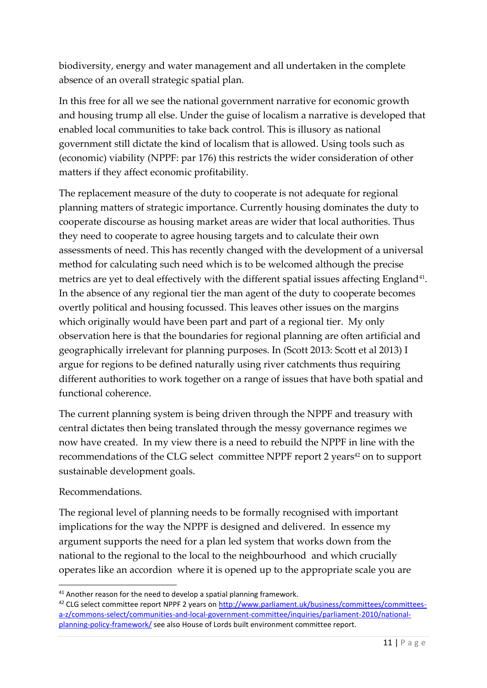biodiversity, energy and water management and all undertaken in the complete absence of an overall strategic spatial plan.

In this free for all we see the national government narrative for economic growth and housing trump all else. Under the guise of localism a narrative is developed that enabled local communities to take back control. This is illusory as national government still dictate the kind of localism that is allowed. Using tools such as (economic) viability (NPPF: par 176) this restricts the wider consideration of other matters if they affect economic profitability.

The replacement measure of the duty to cooperate is not adequate for regional planning matters of strategic importance. Currently housing dominates the duty to cooperate discourse as housing market areas are wider that local authorities. Thus they need to cooperate to agree housing targets and to calculate their own assessments of need. This has recently changed with the development of a universal method for calculating such need which is to be welcomed although the precise metrics are yet to deal effectively with the different spatial issues affecting England<sup>41</sup>. In the absence of any regional tier the man agent of the duty to cooperate becomes overtly political and housing focussed. This leaves other issues on the margins which originally would have been part and part of a regional tier. My only observation here is that the boundaries for regional planning are often artificial and geographically irrelevant for planning purposes. In (Scott 2013: Scott et al 2013) I argue for regions to be defined naturally using river catchments thus requiring different authorities to work together on a range of issues that have both spatial and functional coherence.

The current planning system is being driven through the NPPF and treasury with central dictates then being translated through the messy governance regimes we now have created. In my view there is a need to rebuild the NPPF in line with the recommendations of the CLG select committee NPPF report 2 years<sup>42</sup> on to support sustainable development goals.

### Recommendations.

The regional level of planning needs to be formally recognised with important implications for the way the NPPF is designed and delivered. In essence my argument supports the need for a plan led system that works down from the national to the regional to the local to the neighbourhood and which crucially operates like an accordion where it is opened up to the appropriate scale you are

 $41$  Another reason for the need to develop a spatial planning framework.

<sup>&</sup>lt;sup>42</sup> CLG select committee report NPPF 2 years o[n http://www.parliament.uk/business/committees/committees](http://www.parliament.uk/business/committees/committees-a-z/commons-select/communities-and-local-government-committee/inquiries/parliament-2010/national-planning-policy-framework/)[a-z/commons-select/communities-and-local-government-committee/inquiries/parliament-2010/national](http://www.parliament.uk/business/committees/committees-a-z/commons-select/communities-and-local-government-committee/inquiries/parliament-2010/national-planning-policy-framework/)[planning-policy-framework/](http://www.parliament.uk/business/committees/committees-a-z/commons-select/communities-and-local-government-committee/inquiries/parliament-2010/national-planning-policy-framework/) see also House of Lords built environment committee report.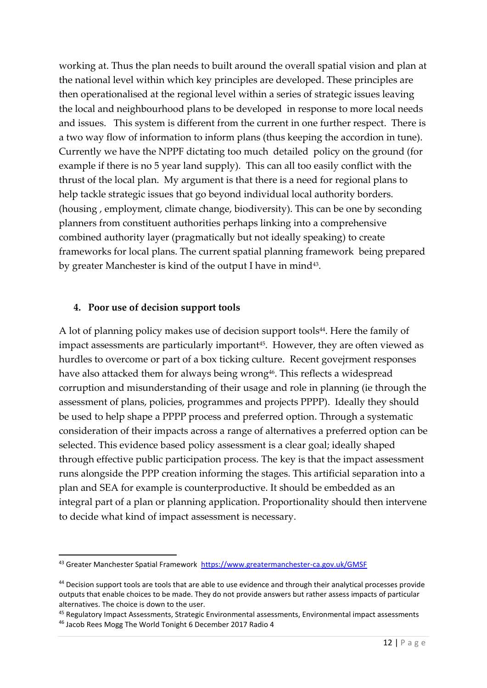working at. Thus the plan needs to built around the overall spatial vision and plan at the national level within which key principles are developed. These principles are then operationalised at the regional level within a series of strategic issues leaving the local and neighbourhood plans to be developed in response to more local needs and issues. This system is different from the current in one further respect. There is a two way flow of information to inform plans (thus keeping the accordion in tune). Currently we have the NPPF dictating too much detailed policy on the ground (for example if there is no 5 year land supply). This can all too easily conflict with the thrust of the local plan. My argument is that there is a need for regional plans to help tackle strategic issues that go beyond individual local authority borders. (housing , employment, climate change, biodiversity). This can be one by seconding planners from constituent authorities perhaps linking into a comprehensive combined authority layer (pragmatically but not ideally speaking) to create frameworks for local plans. The current spatial planning framework being prepared by greater Manchester is kind of the output I have in mind<sup>43</sup>.

#### **4. Poor use of decision support tools**

A lot of planning policy makes use of decision support tools<sup>44</sup>. Here the family of impact assessments are particularly important<sup>45</sup>. However, they are often viewed as hurdles to overcome or part of a box ticking culture. Recent govejrment responses have also attacked them for always being wrong<sup>46</sup>. This reflects a widespread corruption and misunderstanding of their usage and role in planning (ie through the assessment of plans, policies, programmes and projects PPPP). Ideally they should be used to help shape a PPPP process and preferred option. Through a systematic consideration of their impacts across a range of alternatives a preferred option can be selected. This evidence based policy assessment is a clear goal; ideally shaped through effective public participation process. The key is that the impact assessment runs alongside the PPP creation informing the stages. This artificial separation into a plan and SEA for example is counterproductive. It should be embedded as an integral part of a plan or planning application. Proportionality should then intervene to decide what kind of impact assessment is necessary.

<sup>&</sup>lt;sup>43</sup> Greater Manchester Spatial Framework <https://www.greatermanchester-ca.gov.uk/GMSF>

<sup>44</sup> Decision support tools are tools that are able to use evidence and through their analytical processes provide outputs that enable choices to be made. They do not provide answers but rather assess impacts of particular alternatives. The choice is down to the user.

<sup>45</sup> Regulatory Impact Assessments, Strategic Environmental assessments, Environmental impact assessments <sup>46</sup> Jacob Rees Mogg The World Tonight 6 December 2017 Radio 4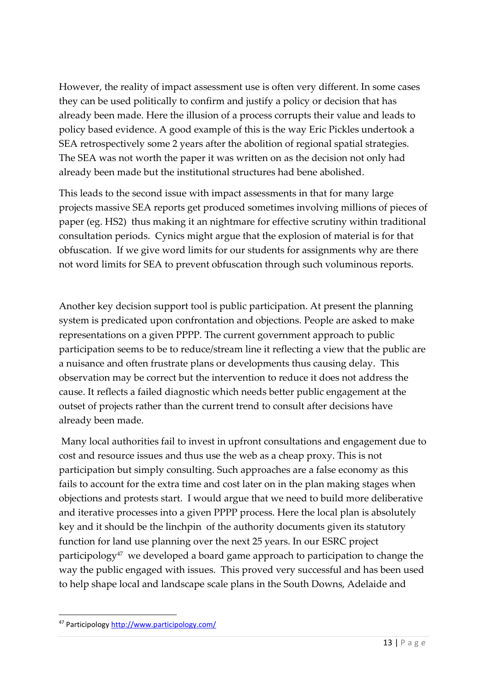However, the reality of impact assessment use is often very different. In some cases they can be used politically to confirm and justify a policy or decision that has already been made. Here the illusion of a process corrupts their value and leads to policy based evidence. A good example of this is the way Eric Pickles undertook a SEA retrospectively some 2 years after the abolition of regional spatial strategies. The SEA was not worth the paper it was written on as the decision not only had already been made but the institutional structures had bene abolished.

This leads to the second issue with impact assessments in that for many large projects massive SEA reports get produced sometimes involving millions of pieces of paper (eg. HS2) thus making it an nightmare for effective scrutiny within traditional consultation periods. Cynics might argue that the explosion of material is for that obfuscation. If we give word limits for our students for assignments why are there not word limits for SEA to prevent obfuscation through such voluminous reports.

Another key decision support tool is public participation. At present the planning system is predicated upon confrontation and objections. People are asked to make representations on a given PPPP. The current government approach to public participation seems to be to reduce/stream line it reflecting a view that the public are a nuisance and often frustrate plans or developments thus causing delay. This observation may be correct but the intervention to reduce it does not address the cause. It reflects a failed diagnostic which needs better public engagement at the outset of projects rather than the current trend to consult after decisions have already been made.

Many local authorities fail to invest in upfront consultations and engagement due to cost and resource issues and thus use the web as a cheap proxy. This is not participation but simply consulting. Such approaches are a false economy as this fails to account for the extra time and cost later on in the plan making stages when objections and protests start. I would argue that we need to build more deliberative and iterative processes into a given PPPP process. Here the local plan is absolutely key and it should be the linchpin of the authority documents given its statutory function for land use planning over the next 25 years. In our ESRC project participology<sup>47</sup> we developed a board game approach to participation to change the way the public engaged with issues. This proved very successful and has been used to help shape local and landscape scale plans in the South Downs, Adelaide and

<sup>47</sup> Participology<http://www.participology.com/>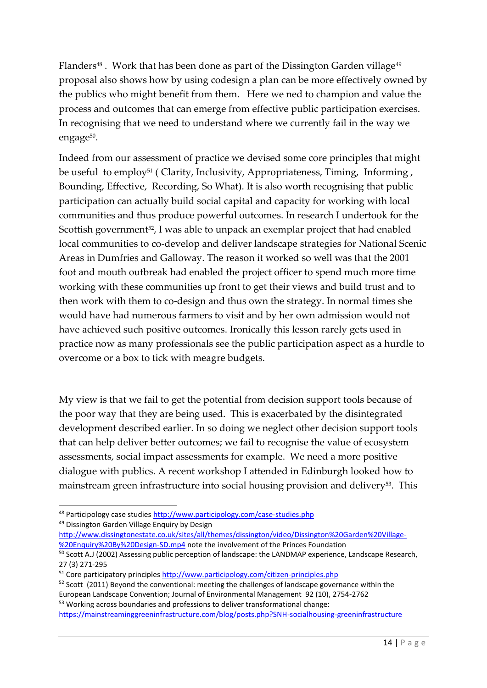Flanders $^{48}$  . Work that has been done as part of the Dissington Garden village $^{49}$ proposal also shows how by using codesign a plan can be more effectively owned by the publics who might benefit from them. Here we ned to champion and value the process and outcomes that can emerge from effective public participation exercises. In recognising that we need to understand where we currently fail in the way we engage<sup>50</sup>.

Indeed from our assessment of practice we devised some core principles that might be useful to employ<sup>51</sup> (Clarity, Inclusivity, Appropriateness, Timing, Informing, Bounding, Effective, Recording, So What). It is also worth recognising that public participation can actually build social capital and capacity for working with local communities and thus produce powerful outcomes. In research I undertook for the Scottish government<sup>52</sup>, I was able to unpack an exemplar project that had enabled local communities to co-develop and deliver landscape strategies for National Scenic Areas in Dumfries and Galloway. The reason it worked so well was that the 2001 foot and mouth outbreak had enabled the project officer to spend much more time working with these communities up front to get their views and build trust and to then work with them to co-design and thus own the strategy. In normal times she would have had numerous farmers to visit and by her own admission would not have achieved such positive outcomes. Ironically this lesson rarely gets used in practice now as many professionals see the public participation aspect as a hurdle to overcome or a box to tick with meagre budgets.

My view is that we fail to get the potential from decision support tools because of the poor way that they are being used. This is exacerbated by the disintegrated development described earlier. In so doing we neglect other decision support tools that can help deliver better outcomes; we fail to recognise the value of ecosystem assessments, social impact assessments for example. We need a more positive dialogue with publics. A recent workshop I attended in Edinburgh looked how to mainstream green infrastructure into social housing provision and delivery<sup>53</sup>. This

[http://www.dissingtonestate.co.uk/sites/all/themes/dissington/video/Dissington%20Garden%20Village-](http://www.dissingtonestate.co.uk/sites/all/themes/dissington/video/Dissington%20Garden%20Village-%20Enquiry%20By%20Design-SD.mp4) [%20Enquiry%20By%20Design-SD.mp4](http://www.dissingtonestate.co.uk/sites/all/themes/dissington/video/Dissington%20Garden%20Village-%20Enquiry%20By%20Design-SD.mp4) note the involvement of the Princes Foundation

 $52$  Scott (2011) Beyond the conventional: meeting the challenges of landscape governance within the European Landscape Convention; Journal of Environmental Management 92 (10), 2754-2762 53 Working across boundaries and professions to deliver transformational change:

<sup>48</sup> Participology case studie[s http://www.participology.com/case-studies.php](http://www.participology.com/case-studies.php)

<sup>49</sup> Dissington Garden Village Enquiry by Design

<sup>50</sup> Scott A.J (2002) Assessing public perception of landscape: the LANDMAP experience, Landscape Research, 27 (3) 271-295

<sup>51</sup> Core participatory principles<http://www.participology.com/citizen-principles.php>

<https://mainstreaminggreeninfrastructure.com/blog/posts.php?SNH-socialhousing-greeninfrastructure>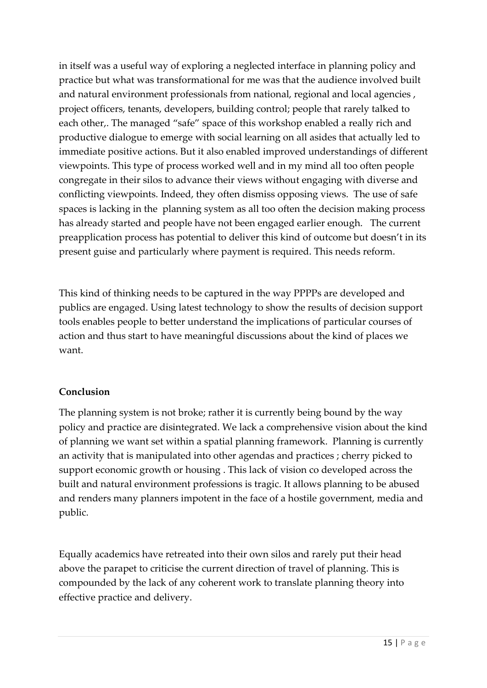in itself was a useful way of exploring a neglected interface in planning policy and practice but what was transformational for me was that the audience involved built and natural environment professionals from national, regional and local agencies , project officers, tenants, developers, building control; people that rarely talked to each other,. The managed "safe" space of this workshop enabled a really rich and productive dialogue to emerge with social learning on all asides that actually led to immediate positive actions. But it also enabled improved understandings of different viewpoints. This type of process worked well and in my mind all too often people congregate in their silos to advance their views without engaging with diverse and conflicting viewpoints. Indeed, they often dismiss opposing views. The use of safe spaces is lacking in the planning system as all too often the decision making process has already started and people have not been engaged earlier enough. The current preapplication process has potential to deliver this kind of outcome but doesn't in its present guise and particularly where payment is required. This needs reform.

This kind of thinking needs to be captured in the way PPPPs are developed and publics are engaged. Using latest technology to show the results of decision support tools enables people to better understand the implications of particular courses of action and thus start to have meaningful discussions about the kind of places we want.

## **Conclusion**

The planning system is not broke; rather it is currently being bound by the way policy and practice are disintegrated. We lack a comprehensive vision about the kind of planning we want set within a spatial planning framework. Planning is currently an activity that is manipulated into other agendas and practices ; cherry picked to support economic growth or housing . This lack of vision co developed across the built and natural environment professions is tragic. It allows planning to be abused and renders many planners impotent in the face of a hostile government, media and public.

Equally academics have retreated into their own silos and rarely put their head above the parapet to criticise the current direction of travel of planning. This is compounded by the lack of any coherent work to translate planning theory into effective practice and delivery.